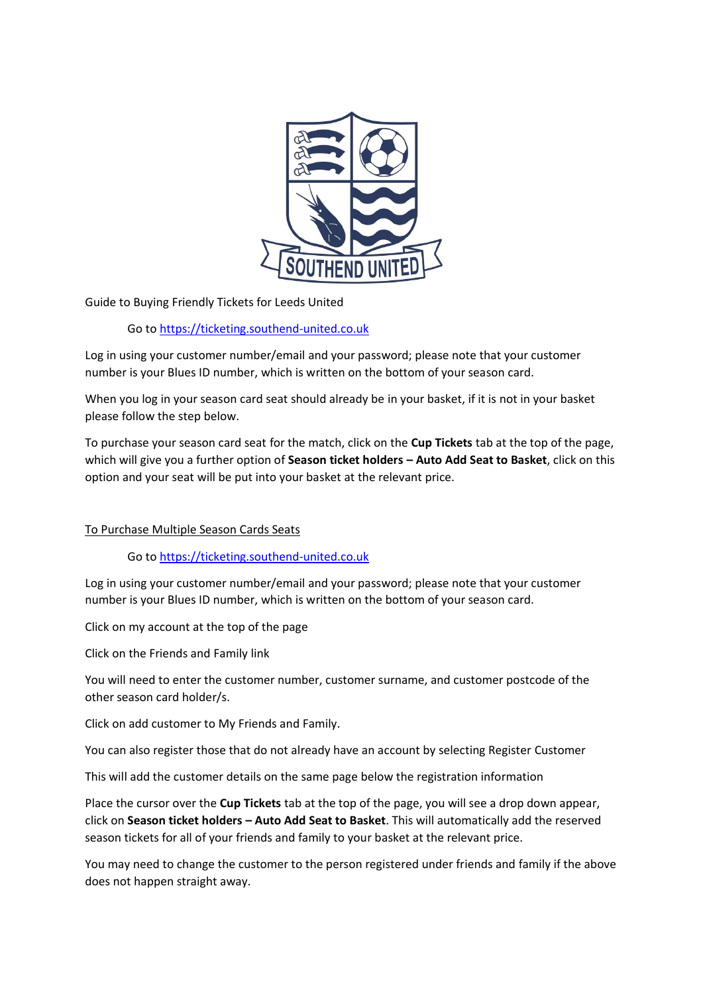

Guide to Buying Friendly Tickets for Leeds United

Go to [https://ticketing.southend-united.co.uk](https://ticketing.southend-united.co.uk/)

Log in using your customer number/email and your password; please note that your customer number is your Blues ID number, which is written on the bottom of your season card.

When you log in your season card seat should already be in your basket, if it is not in your basket please follow the step below.

To purchase your season card seat for the match, click on the **Cup Tickets** tab at the top of the page, which will give you a further option of **Season ticket holders – Auto Add Seat to Basket**, click on this option and your seat will be put into your basket at the relevant price.

## To Purchase Multiple Season Cards Seats

Go to [https://ticketing.southend-united.co.uk](https://ticketing.southend-united.co.uk/)

Log in using your customer number/email and your password; please note that your customer number is your Blues ID number, which is written on the bottom of your season card.

Click on my account at the top of the page

Click on the Friends and Family link

You will need to enter the customer number, customer surname, and customer postcode of the other season card holder/s.

Click on add customer to My Friends and Family.

You can also register those that do not already have an account by selecting Register Customer

This will add the customer details on the same page below the registration information

Place the cursor over the **Cup Tickets** tab at the top of the page, you will see a drop down appear, click on **Season ticket holders – Auto Add Seat to Basket**. This will automatically add the reserved season tickets for all of your friends and family to your basket at the relevant price.

You may need to change the customer to the person registered under friends and family if the above does not happen straight away.